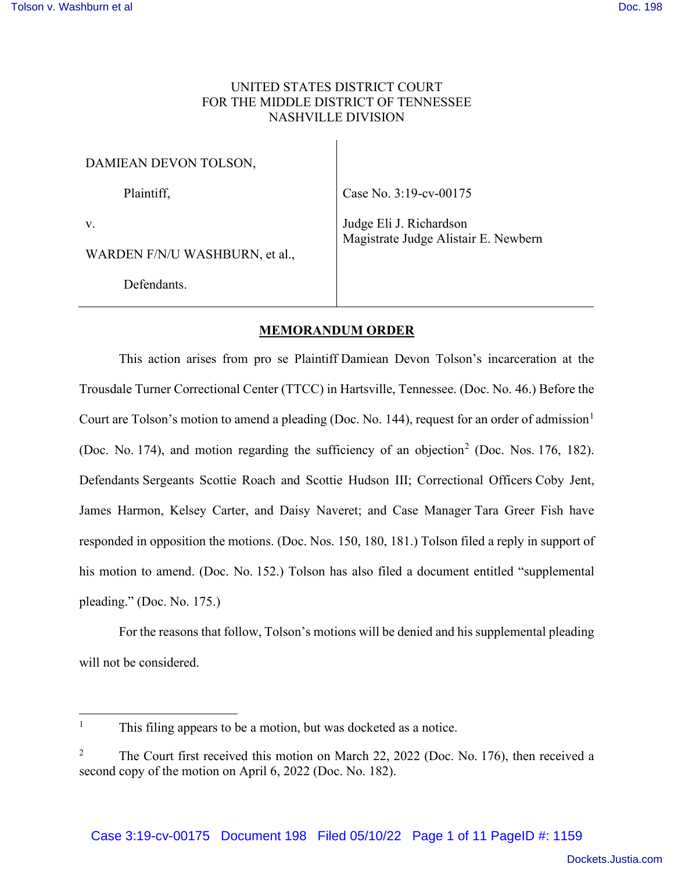# UNITED STATES DISTRICT COURT FOR THE MIDDLE DISTRICT OF TENNESSEE NASHVILLE DIVISION

| DAMIEAN DEVON TOLSON,                |                                                                 |
|--------------------------------------|-----------------------------------------------------------------|
| Plaintiff,                           | Case No. 3:19-cv-00175                                          |
| V.<br>WARDEN F/N/U WASHBURN, et al., | Judge Eli J. Richardson<br>Magistrate Judge Alistair E. Newbern |
| Defendants.                          |                                                                 |

## **MEMORANDUM ORDER**

This action arises from pro se Plaintiff Damiean Devon Tolson's incarceration at the Trousdale Turner Correctional Center (TTCC) in Hartsville, Tennessee. (Doc. No. 46.) Before the Court are Tolson's motion to amend a pleading (Doc. No. 144), request for an order of admission<sup>1</sup> (Doc. No. 174), and motion regarding the sufficiency of an objection<sup>2</sup> (Doc. Nos. 176, 182). Defendants Sergeants Scottie Roach and Scottie Hudson III; Correctional Officers Coby Jent, James Harmon, Kelsey Carter, and Daisy Naveret; and Case Manager Tara Greer Fish have responded in opposition the motions. (Doc. Nos. 150, 180, 181.) Tolson filed a reply in support of his motion to amend. (Doc. No. 152.) Tolson has also filed a document entitled "supplemental pleading." (Doc. No. 175.)

For the reasons that follow, Tolson's motions will be denied and his supplemental pleading will not be considered.

<sup>1</sup> This filing appears to be a motion, but was docketed as a notice.

<sup>&</sup>lt;sup>2</sup> The Court first received this motion on March 22, 2022 (Doc. No. 176), then received a second copy of the motion on April 6, 2022 (Doc. No. 182).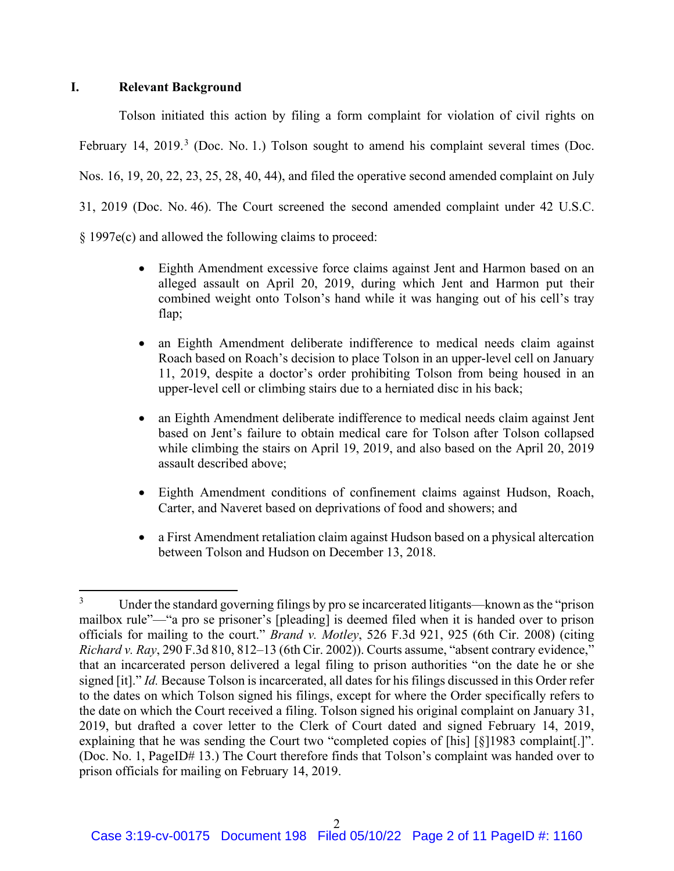### **I. Relevant Background**

Tolson initiated this action by filing a form complaint for violation of civil rights on February 14, 2019. $3$  (Doc. No. 1.) Tolson sought to amend his complaint several times (Doc. Nos. 16, 19, 20, 22, 23, 25, 28, 40, 44), and filed the operative second amended complaint on July 31, 2019 (Doc. No. 46). The Court screened the second amended complaint under 42 U.S.C. § 1997e(c) and allowed the following claims to proceed:

- Eighth Amendment excessive force claims against Jent and Harmon based on an alleged assault on April 20, 2019, during which Jent and Harmon put their combined weight onto Tolson's hand while it was hanging out of his cell's tray flap;
- an Eighth Amendment deliberate indifference to medical needs claim against Roach based on Roach's decision to place Tolson in an upper-level cell on January 11, 2019, despite a doctor's order prohibiting Tolson from being housed in an upper-level cell or climbing stairs due to a herniated disc in his back;
- an Eighth Amendment deliberate indifference to medical needs claim against Jent based on Jent's failure to obtain medical care for Tolson after Tolson collapsed while climbing the stairs on April 19, 2019, and also based on the April 20, 2019 assault described above;
- Eighth Amendment conditions of confinement claims against Hudson, Roach, Carter, and Naveret based on deprivations of food and showers; and
- a First Amendment retaliation claim against Hudson based on a physical altercation between Tolson and Hudson on December 13, 2018.

<sup>&</sup>lt;sup>3</sup> Under the standard governing filings by pro se incarcerated litigants—known as the "prison mailbox rule"—"a pro se prisoner's [pleading] is deemed filed when it is handed over to prison officials for mailing to the court." *Brand v. Motley*, 526 F.3d 921, 925 (6th Cir. 2008) (citing *Richard v. Ray*, 290 F.3d 810, 812–13 (6th Cir. 2002)). Courts assume, "absent contrary evidence," that an incarcerated person delivered a legal filing to prison authorities "on the date he or she signed [it]." *Id.* Because Tolson is incarcerated, all dates for his filings discussed in this Order refer to the dates on which Tolson signed his filings, except for where the Order specifically refers to the date on which the Court received a filing. Tolson signed his original complaint on January 31, 2019, but drafted a cover letter to the Clerk of Court dated and signed February 14, 2019, explaining that he was sending the Court two "completed copies of [his] [§]1983 complaint[.]". (Doc. No. 1, PageID# 13.) The Court therefore finds that Tolson's complaint was handed over to prison officials for mailing on February 14, 2019.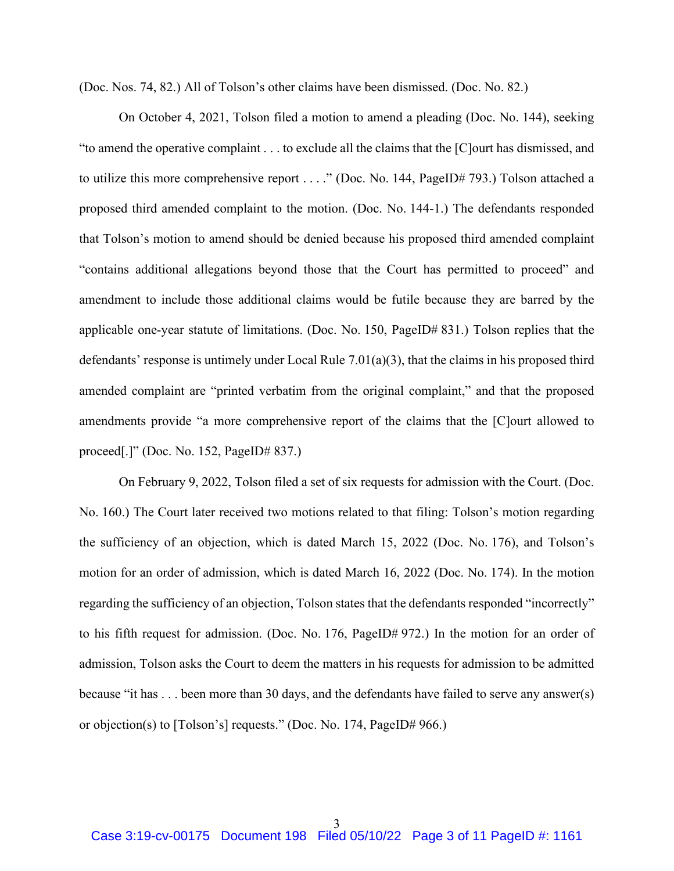(Doc. Nos. 74, 82.) All of Tolson's other claims have been dismissed. (Doc. No. 82.)

On October 4, 2021, Tolson filed a motion to amend a pleading (Doc. No. 144), seeking "to amend the operative complaint . . . to exclude all the claims that the [C]ourt has dismissed, and to utilize this more comprehensive report . . . ." (Doc. No. 144, PageID# 793.) Tolson attached a proposed third amended complaint to the motion. (Doc. No. 144-1.) The defendants responded that Tolson's motion to amend should be denied because his proposed third amended complaint "contains additional allegations beyond those that the Court has permitted to proceed" and amendment to include those additional claims would be futile because they are barred by the applicable one-year statute of limitations. (Doc. No. 150, PageID# 831.) Tolson replies that the defendants' response is untimely under Local Rule 7.01(a)(3), that the claims in his proposed third amended complaint are "printed verbatim from the original complaint," and that the proposed amendments provide "a more comprehensive report of the claims that the [C]ourt allowed to proceed[.]" (Doc. No. 152, PageID# 837.)

On February 9, 2022, Tolson filed a set of six requests for admission with the Court. (Doc. No. 160.) The Court later received two motions related to that filing: Tolson's motion regarding the sufficiency of an objection, which is dated March 15, 2022 (Doc. No. 176), and Tolson's motion for an order of admission, which is dated March 16, 2022 (Doc. No. 174). In the motion regarding the sufficiency of an objection, Tolson states that the defendants responded "incorrectly" to his fifth request for admission. (Doc. No. 176, PageID# 972.) In the motion for an order of admission, Tolson asks the Court to deem the matters in his requests for admission to be admitted because "it has . . . been more than 30 days, and the defendants have failed to serve any answer(s) or objection(s) to [Tolson's] requests." (Doc. No. 174, PageID# 966.)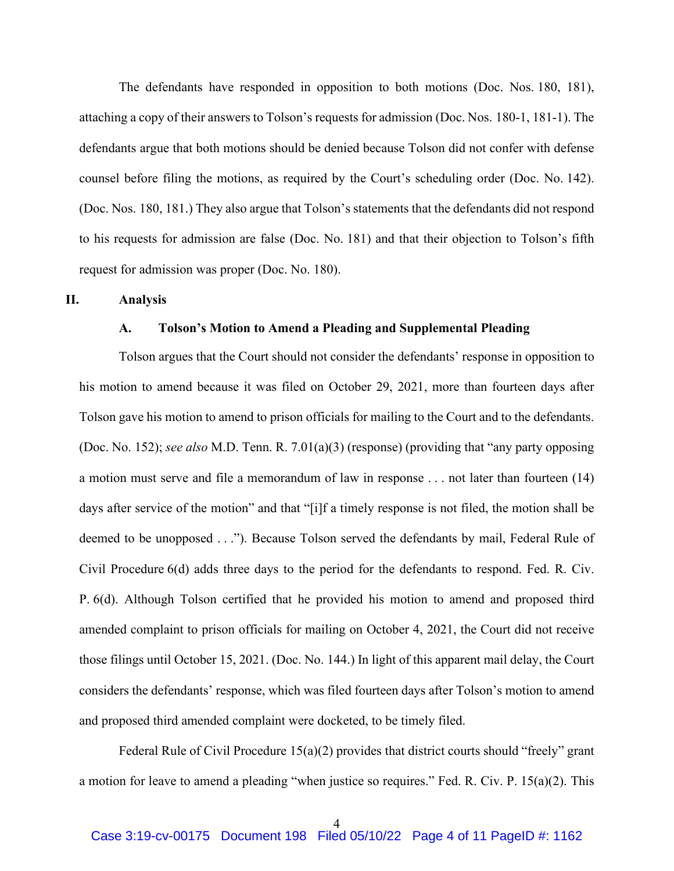The defendants have responded in opposition to both motions (Doc. Nos. 180, 181), attaching a copy of their answers to Tolson's requests for admission (Doc. Nos. 180-1, 181-1). The defendants argue that both motions should be denied because Tolson did not confer with defense counsel before filing the motions, as required by the Court's scheduling order (Doc. No. 142). (Doc. Nos. 180, 181.) They also argue that Tolson's statements that the defendants did not respond to his requests for admission are false (Doc. No. 181) and that their objection to Tolson's fifth request for admission was proper (Doc. No. 180).

#### **II. Analysis**

#### **A. Tolson's Motion to Amend a Pleading and Supplemental Pleading**

Tolson argues that the Court should not consider the defendants' response in opposition to his motion to amend because it was filed on October 29, 2021, more than fourteen days after Tolson gave his motion to amend to prison officials for mailing to the Court and to the defendants. (Doc. No. 152); *see also* M.D. Tenn. R. 7.01(a)(3) (response) (providing that "any party opposing a motion must serve and file a memorandum of law in response . . . not later than fourteen (14) days after service of the motion" and that "[i]f a timely response is not filed, the motion shall be deemed to be unopposed . . ."). Because Tolson served the defendants by mail, Federal Rule of Civil Procedure 6(d) adds three days to the period for the defendants to respond. Fed. R. Civ. P. 6(d). Although Tolson certified that he provided his motion to amend and proposed third amended complaint to prison officials for mailing on October 4, 2021, the Court did not receive those filings until October 15, 2021. (Doc. No. 144.) In light of this apparent mail delay, the Court considers the defendants' response, which was filed fourteen days after Tolson's motion to amend and proposed third amended complaint were docketed, to be timely filed.

Federal Rule of Civil Procedure 15(a)(2) provides that district courts should "freely" grant a motion for leave to amend a pleading "when justice so requires." Fed. R. Civ. P. 15(a)(2). This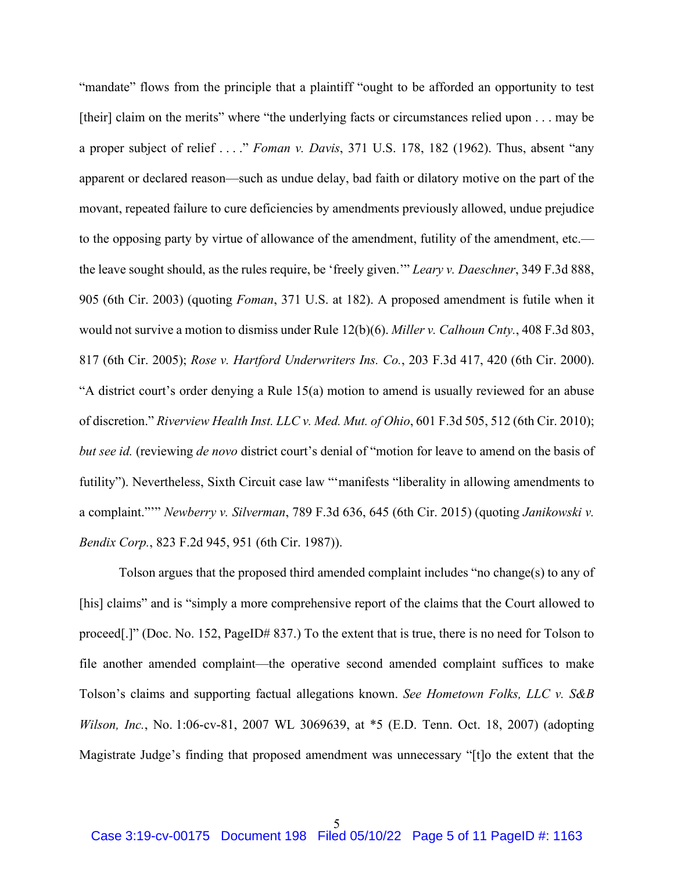"mandate" flows from the principle that a plaintiff "ought to be afforded an opportunity to test [their] claim on the merits" where "the underlying facts or circumstances relied upon . . . may be a proper subject of relief . . . ." *Foman v. Davis*, 371 U.S. 178, 182 (1962). Thus, absent "any apparent or declared reason—such as undue delay, bad faith or dilatory motive on the part of the movant, repeated failure to cure deficiencies by amendments previously allowed, undue prejudice to the opposing party by virtue of allowance of the amendment, futility of the amendment, etc. the leave sought should, as the rules require, be 'freely given.'" *Leary v. Daeschner*, 349 F.3d 888, 905 (6th Cir. 2003) (quoting *Foman*, 371 U.S. at 182). A proposed amendment is futile when it would not survive a motion to dismiss under Rule 12(b)(6). *Miller v. Calhoun Cnty.*, 408 F.3d 803, 817 (6th Cir. 2005); *Rose v. Hartford Underwriters Ins. Co.*, 203 F.3d 417, 420 (6th Cir. 2000). "A district court's order denying a Rule 15(a) motion to amend is usually reviewed for an abuse of discretion." *Riverview Health Inst. LLC v. Med. Mut. of Ohio*, 601 F.3d 505, 512 (6th Cir. 2010); *but see id.* (reviewing *de novo* district court's denial of "motion for leave to amend on the basis of futility"). Nevertheless, Sixth Circuit case law ""manifests "liberality in allowing amendments to a complaint."'" *Newberry v. Silverman*, 789 F.3d 636, 645 (6th Cir. 2015) (quoting *Janikowski v. Bendix Corp.*, 823 F.2d 945, 951 (6th Cir. 1987)).

Tolson argues that the proposed third amended complaint includes "no change(s) to any of [his] claims" and is "simply a more comprehensive report of the claims that the Court allowed to proceed[.]" (Doc. No. 152, PageID# 837.) To the extent that is true, there is no need for Tolson to file another amended complaint—the operative second amended complaint suffices to make Tolson's claims and supporting factual allegations known. *See Hometown Folks, LLC v. S&B Wilson, Inc.*, No. 1:06-cv-81, 2007 WL 3069639, at \*5 (E.D. Tenn. Oct. 18, 2007) (adopting Magistrate Judge's finding that proposed amendment was unnecessary "[t]o the extent that the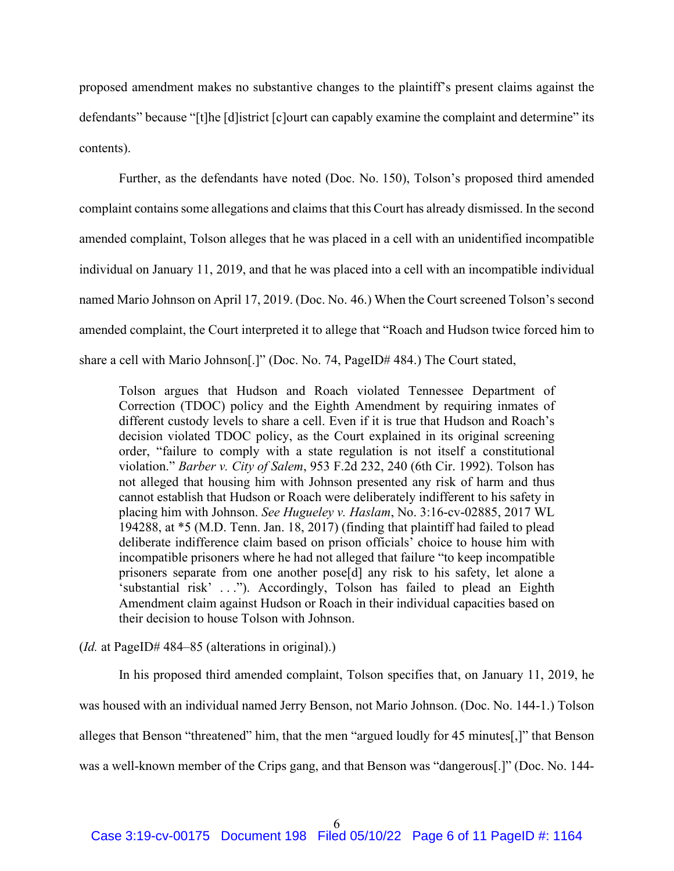proposed amendment makes no substantive changes to the plaintiff's present claims against the defendants" because "[t]he [d]istrict [c]ourt can capably examine the complaint and determine" its contents).

Further, as the defendants have noted (Doc. No. 150), Tolson's proposed third amended complaint contains some allegations and claims that this Court has already dismissed. In the second amended complaint, Tolson alleges that he was placed in a cell with an unidentified incompatible individual on January 11, 2019, and that he was placed into a cell with an incompatible individual named Mario Johnson on April 17, 2019. (Doc. No. 46.) When the Court screened Tolson's second amended complaint, the Court interpreted it to allege that "Roach and Hudson twice forced him to share a cell with Mario Johnson[.]" (Doc. No. 74, PageID# 484.) The Court stated,

Tolson argues that Hudson and Roach violated Tennessee Department of Correction (TDOC) policy and the Eighth Amendment by requiring inmates of different custody levels to share a cell. Even if it is true that Hudson and Roach's decision violated TDOC policy, as the Court explained in its original screening order, "failure to comply with a state regulation is not itself a constitutional violation." *Barber v. City of Salem*, 953 F.2d 232, 240 (6th Cir. 1992). Tolson has not alleged that housing him with Johnson presented any risk of harm and thus cannot establish that Hudson or Roach were deliberately indifferent to his safety in placing him with Johnson. *See Hugueley v. Haslam*, No. 3:16-cv-02885, 2017 WL 194288, at \*5 (M.D. Tenn. Jan. 18, 2017) (finding that plaintiff had failed to plead deliberate indifference claim based on prison officials' choice to house him with incompatible prisoners where he had not alleged that failure "to keep incompatible prisoners separate from one another pose[d] any risk to his safety, let alone a 'substantial risk' . . ."). Accordingly, Tolson has failed to plead an Eighth Amendment claim against Hudson or Roach in their individual capacities based on their decision to house Tolson with Johnson.

(*Id.* at PageID# 484–85 (alterations in original).)

In his proposed third amended complaint, Tolson specifies that, on January 11, 2019, he was housed with an individual named Jerry Benson, not Mario Johnson. (Doc. No. 144-1.) Tolson alleges that Benson "threatened" him, that the men "argued loudly for 45 minutes[,]" that Benson was a well-known member of the Crips gang, and that Benson was "dangerous[.]" (Doc. No. 144-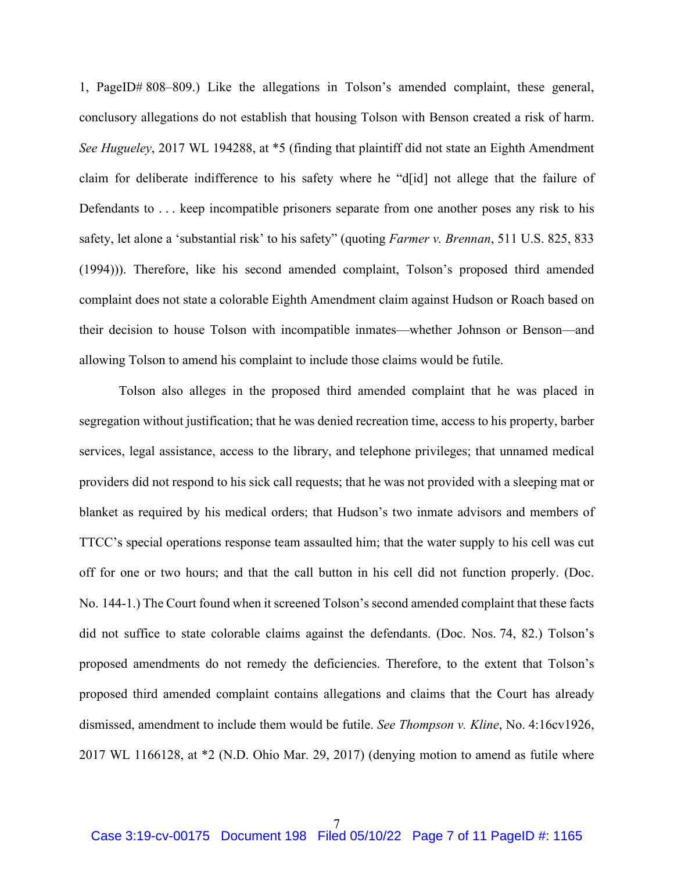1, PageID# 808–809.) Like the allegations in Tolson's amended complaint, these general, conclusory allegations do not establish that housing Tolson with Benson created a risk of harm. *See Hugueley*, 2017 WL 194288, at \*5 (finding that plaintiff did not state an Eighth Amendment claim for deliberate indifference to his safety where he "d[id] not allege that the failure of Defendants to . . . keep incompatible prisoners separate from one another poses any risk to his safety, let alone a 'substantial risk' to his safety" (quoting *Farmer v. Brennan*, 511 U.S. 825, 833 (1994))). Therefore, like his second amended complaint, Tolson's proposed third amended complaint does not state a colorable Eighth Amendment claim against Hudson or Roach based on their decision to house Tolson with incompatible inmates—whether Johnson or Benson—and allowing Tolson to amend his complaint to include those claims would be futile.

Tolson also alleges in the proposed third amended complaint that he was placed in segregation without justification; that he was denied recreation time, access to his property, barber services, legal assistance, access to the library, and telephone privileges; that unnamed medical providers did not respond to his sick call requests; that he was not provided with a sleeping mat or blanket as required by his medical orders; that Hudson's two inmate advisors and members of TTCC's special operations response team assaulted him; that the water supply to his cell was cut off for one or two hours; and that the call button in his cell did not function properly. (Doc. No. 144-1.) The Court found when it screened Tolson's second amended complaint that these facts did not suffice to state colorable claims against the defendants. (Doc. Nos. 74, 82.) Tolson's proposed amendments do not remedy the deficiencies. Therefore, to the extent that Tolson's proposed third amended complaint contains allegations and claims that the Court has already dismissed, amendment to include them would be futile. *See Thompson v. Kline*, No. 4:16cv1926, 2017 WL 1166128, at \*2 (N.D. Ohio Mar. 29, 2017) (denying motion to amend as futile where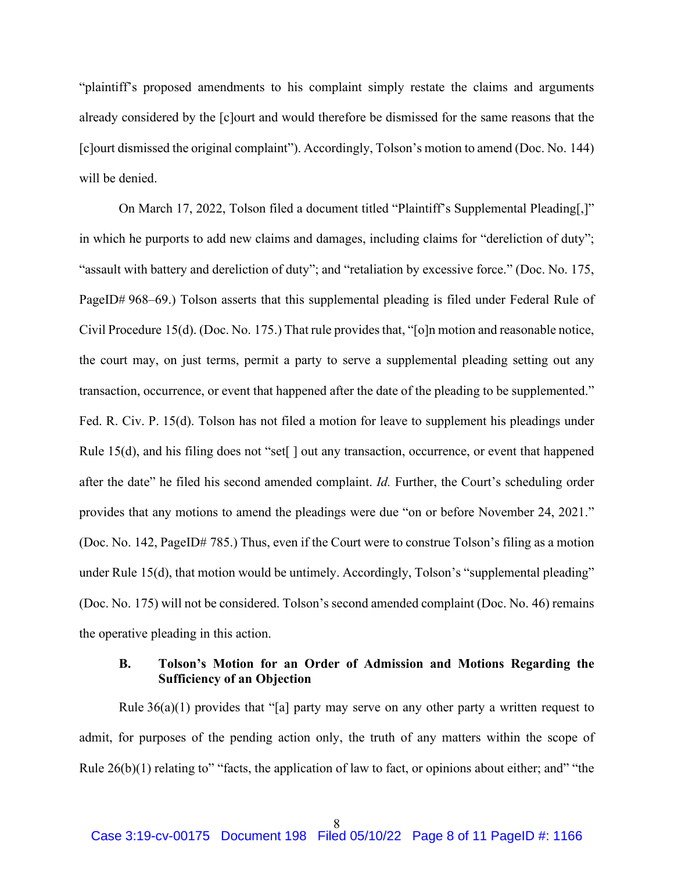"plaintiff's proposed amendments to his complaint simply restate the claims and arguments already considered by the [c]ourt and would therefore be dismissed for the same reasons that the [c]ourt dismissed the original complaint"). Accordingly, Tolson's motion to amend (Doc. No. 144) will be denied.

On March 17, 2022, Tolson filed a document titled "Plaintiff's Supplemental Pleading[,]" in which he purports to add new claims and damages, including claims for "dereliction of duty"; "assault with battery and dereliction of duty"; and "retaliation by excessive force." (Doc. No. 175, PageID# 968–69.) Tolson asserts that this supplemental pleading is filed under Federal Rule of Civil Procedure 15(d). (Doc. No. 175.) That rule provides that, "[o]n motion and reasonable notice, the court may, on just terms, permit a party to serve a supplemental pleading setting out any transaction, occurrence, or event that happened after the date of the pleading to be supplemented." Fed. R. Civ. P. 15(d). Tolson has not filed a motion for leave to supplement his pleadings under Rule 15(d), and his filing does not "set<sup>[]</sup> out any transaction, occurrence, or event that happened after the date" he filed his second amended complaint. *Id.* Further, the Court's scheduling order provides that any motions to amend the pleadings were due "on or before November 24, 2021." (Doc. No. 142, PageID# 785.) Thus, even if the Court were to construe Tolson's filing as a motion under Rule 15(d), that motion would be untimely. Accordingly, Tolson's "supplemental pleading" (Doc. No. 175) will not be considered. Tolson's second amended complaint (Doc. No. 46) remains the operative pleading in this action.

## **B. Tolson's Motion for an Order of Admission and Motions Regarding the Sufficiency of an Objection**

Rule  $36(a)(1)$  provides that "[a] party may serve on any other party a written request to admit, for purposes of the pending action only, the truth of any matters within the scope of Rule  $26(b)(1)$  relating to" "facts, the application of law to fact, or opinions about either; and" "the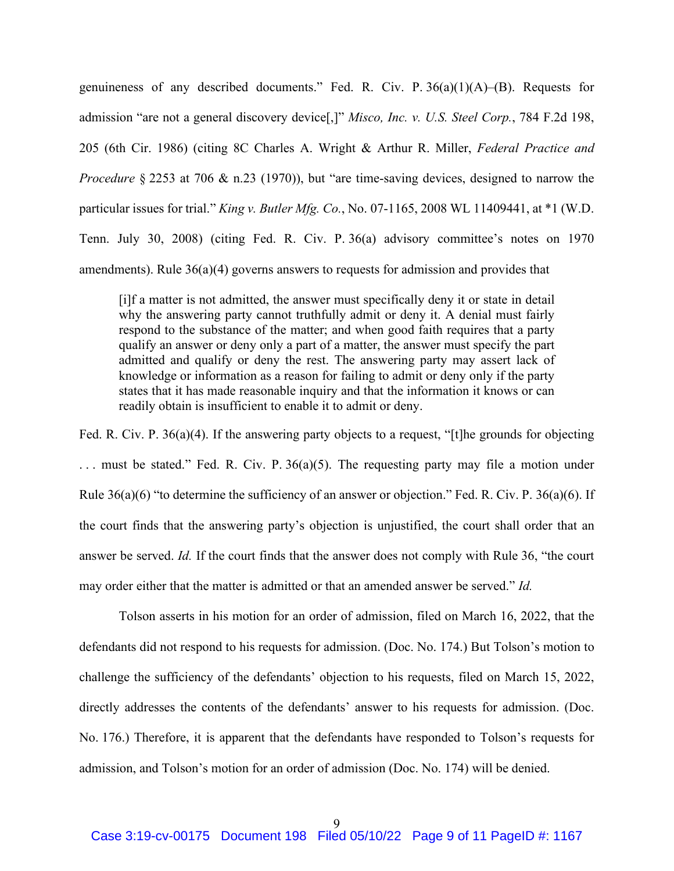genuineness of any described documents." Fed. R. Civ. P.  $36(a)(1)(A)$ –(B). Requests for admission "are not a general discovery device[,]" *Misco, Inc. v. U.S. Steel Corp.*, 784 F.2d 198, 205 (6th Cir. 1986) (citing 8C Charles A. Wright & Arthur R. Miller, *Federal Practice and Procedure* § 2253 at 706 & n.23 (1970)), but "are time-saving devices, designed to narrow the particular issues for trial." *King v. Butler Mfg. Co.*, No. 07-1165, 2008 WL 11409441, at \*1 (W.D. Tenn. July 30, 2008) (citing Fed. R. Civ. P. 36(a) advisory committee's notes on 1970 amendments). Rule 36(a)(4) governs answers to requests for admission and provides that

[i]f a matter is not admitted, the answer must specifically deny it or state in detail why the answering party cannot truthfully admit or deny it. A denial must fairly respond to the substance of the matter; and when good faith requires that a party qualify an answer or deny only a part of a matter, the answer must specify the part admitted and qualify or deny the rest. The answering party may assert lack of knowledge or information as a reason for failing to admit or deny only if the party states that it has made reasonable inquiry and that the information it knows or can readily obtain is insufficient to enable it to admit or deny.

Fed. R. Civ. P. 36(a)(4). If the answering party objects to a request, "[t]he grounds for objecting ... must be stated." Fed. R. Civ. P. 36(a)(5). The requesting party may file a motion under Rule 36(a)(6) "to determine the sufficiency of an answer or objection." Fed. R. Civ. P. 36(a)(6). If the court finds that the answering party's objection is unjustified, the court shall order that an answer be served. *Id.* If the court finds that the answer does not comply with Rule 36, "the court may order either that the matter is admitted or that an amended answer be served." *Id.*

Tolson asserts in his motion for an order of admission, filed on March 16, 2022, that the defendants did not respond to his requests for admission. (Doc. No. 174.) But Tolson's motion to challenge the sufficiency of the defendants' objection to his requests, filed on March 15, 2022, directly addresses the contents of the defendants' answer to his requests for admission. (Doc. No. 176.) Therefore, it is apparent that the defendants have responded to Tolson's requests for admission, and Tolson's motion for an order of admission (Doc. No. 174) will be denied.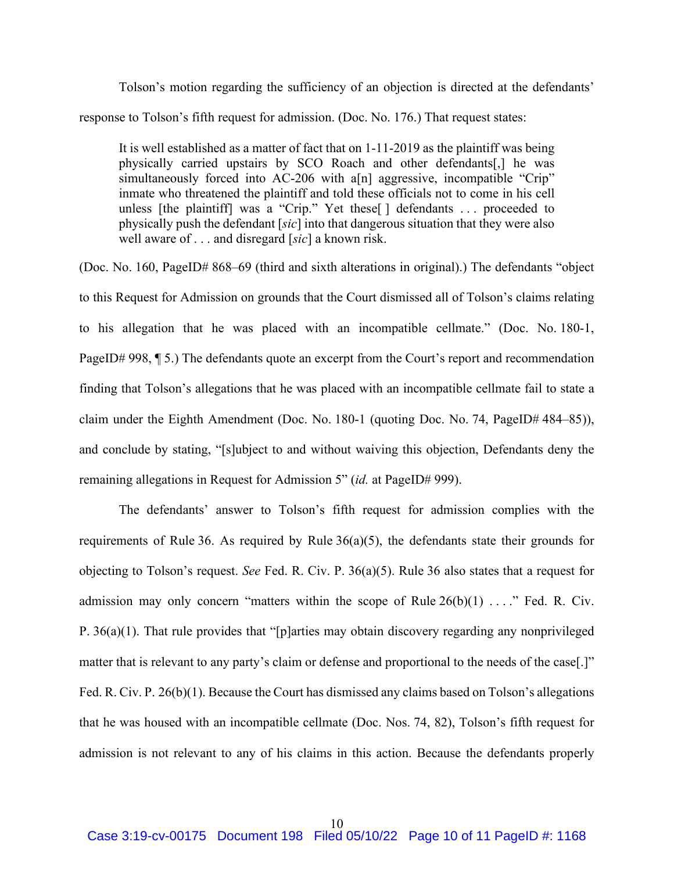Tolson's motion regarding the sufficiency of an objection is directed at the defendants' response to Tolson's fifth request for admission. (Doc. No. 176.) That request states:

It is well established as a matter of fact that on 1-11-2019 as the plaintiff was being physically carried upstairs by SCO Roach and other defendants[,] he was simultaneously forced into AC-206 with a[n] aggressive, incompatible "Crip" inmate who threatened the plaintiff and told these officials not to come in his cell unless [the plaintiff] was a "Crip." Yet these[ ] defendants . . . proceeded to physically push the defendant [*sic*] into that dangerous situation that they were also well aware of . . . and disregard [*sic*] a known risk.

(Doc. No. 160, PageID# 868–69 (third and sixth alterations in original).) The defendants "object to this Request for Admission on grounds that the Court dismissed all of Tolson's claims relating to his allegation that he was placed with an incompatible cellmate." (Doc. No. 180-1, PageID# 998,  $\P$  5.) The defendants quote an excerpt from the Court's report and recommendation finding that Tolson's allegations that he was placed with an incompatible cellmate fail to state a claim under the Eighth Amendment (Doc. No. 180-1 (quoting Doc. No. 74, PageID# 484–85)), and conclude by stating, "[s]ubject to and without waiving this objection, Defendants deny the remaining allegations in Request for Admission 5" (*id.* at PageID# 999).

The defendants' answer to Tolson's fifth request for admission complies with the requirements of Rule 36. As required by Rule 36(a)(5), the defendants state their grounds for objecting to Tolson's request. *See* Fed. R. Civ. P. 36(a)(5). Rule 36 also states that a request for admission may only concern "matters within the scope of Rule  $26(b)(1)$  ...." Fed. R. Civ. P. 36(a)(1). That rule provides that "[p]arties may obtain discovery regarding any nonprivileged matter that is relevant to any party's claim or defense and proportional to the needs of the case[.]" Fed. R. Civ. P. 26(b)(1). Because the Court has dismissed any claims based on Tolson's allegations that he was housed with an incompatible cellmate (Doc. Nos. 74, 82), Tolson's fifth request for admission is not relevant to any of his claims in this action. Because the defendants properly